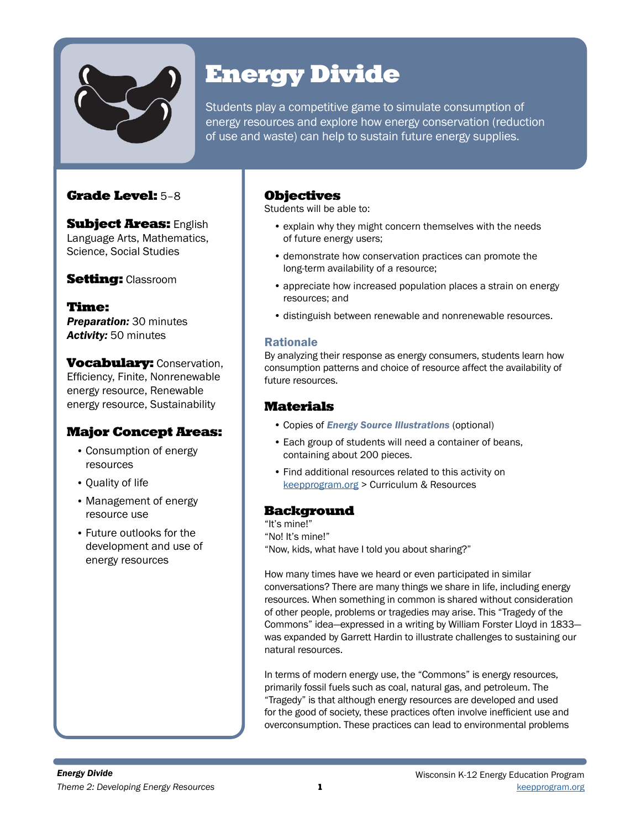

# Energy Divide

Students play a competitive game to simulate consumption of energy resources and explore how energy conservation (reduction of use and waste) can help to sustain future energy supplies.

# Grade Level: 5–8

**Subject Areas: English** Language Arts, Mathematics, Science, Social Studies

## **Setting: Classroom**

Time: *Preparation:* 30 minutes *Activity:* 50 minutes

**Vocabulary: Conservation,** Efficiency, Finite, Nonrenewable energy resource, Renewable energy resource, Sustainability

## Major Concept Areas:

- Consumption of energy resources
- Quality of life
- Management of energy resource use
- Future outlooks for the development and use of energy resources

## **Objectives**

Students will be able to:

- explain why they might concern themselves with the needs of future energy users;
- demonstrate how conservation practices can promote the long-term availability of a resource;
- appreciate how increased population places a strain on energy resources; and
- distinguish between renewable and nonrenewable resources.

## Rationale

By analyzing their response as energy consumers, students learn how consumption patterns and choice of resource affect the availability of future resources.

## Materials

- Copies of *Energy Source Illustrations* (optional)
- Each group of students will need a container of beans, containing about 200 pieces.
- Find additional resources related to this activity on [keepprogram.org](http://keepprogram.org) > Curriculum & Resources

# Background

"It's mine!"

"No! It's mine!"

"Now, kids, what have I told you about sharing?"

How many times have we heard or even participated in similar conversations? There are many things we share in life, including energy resources. When something in common is shared without consideration of other people, problems or tragedies may arise. This "Tragedy of the Commons" idea—expressed in a writing by William Forster Lloyd in 1833 was expanded by Garrett Hardin to illustrate challenges to sustaining our natural resources.

In terms of modern energy use, the "Commons" is energy resources, primarily fossil fuels such as coal, natural gas, and petroleum. The "Tragedy" is that although energy resources are developed and used for the good of society, these practices often involve inefficient use and overconsumption. These practices can lead to environmental problems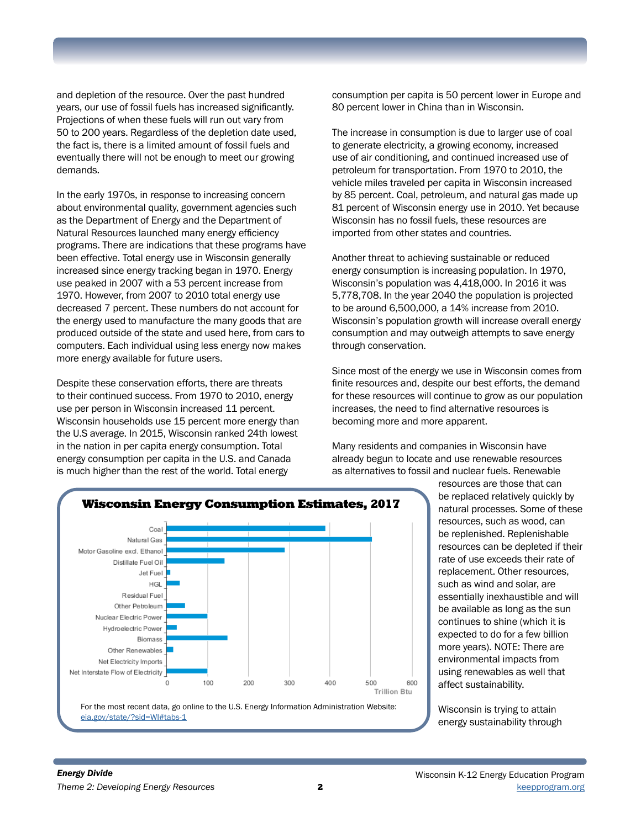and depletion of the resource. Over the past hundred years, our use of fossil fuels has increased significantly. Projections of when these fuels will run out vary from 50 to 200 years. Regardless of the depletion date used, the fact is, there is a limited amount of fossil fuels and eventually there will not be enough to meet our growing demands.

In the early 1970s, in response to increasing concern about environmental quality, government agencies such as the Department of Energy and the Department of Natural Resources launched many energy efficiency programs. There are indications that these programs have been effective. Total energy use in Wisconsin generally increased since energy tracking began in 1970. Energy use peaked in 2007 with a 53 percent increase from 1970. However, from 2007 to 2010 total energy use decreased 7 percent. These numbers do not account for the energy used to manufacture the many goods that are produced outside of the state and used here, from cars to computers. Each individual using less energy now makes more energy available for future users.

Despite these conservation efforts, there are threats to their continued success. From 1970 to 2010, energy use per person in Wisconsin increased 11 percent. Wisconsin households use 15 percent more energy than the U.S average. In 2015, Wisconsin ranked 24th lowest in the nation in per capita energy consumption. Total energy consumption per capita in the U.S. and Canada is much higher than the rest of the world. Total energy

consumption per capita is 50 percent lower in Europe and 80 percent lower in China than in Wisconsin.

The increase in consumption is due to larger use of coal to generate electricity, a growing economy, increased use of air conditioning, and continued increased use of petroleum for transportation. From 1970 to 2010, the vehicle miles traveled per capita in Wisconsin increased by 85 percent. Coal, petroleum, and natural gas made up 81 percent of Wisconsin energy use in 2010. Yet because Wisconsin has no fossil fuels, these resources are imported from other states and countries.

Another threat to achieving sustainable or reduced energy consumption is increasing population. In 1970, Wisconsin's population was 4,418,000. In 2016 it was 5,778,708. In the year 2040 the population is projected to be around 6,500,000, a 14% increase from 2010. Wisconsin's population growth will increase overall energy consumption and may outweigh attempts to save energy through conservation.

Since most of the energy we use in Wisconsin comes from finite resources and, despite our best efforts, the demand for these resources will continue to grow as our population increases, the need to find alternative resources is becoming more and more apparent.

Many residents and companies in Wisconsin have already begun to locate and use renewable resources as alternatives to fossil and nuclear fuels. Renewable



resources are those that can be replaced relatively quickly by natural processes. Some of these resources, such as wood, can be replenished. Replenishable resources can be depleted if their rate of use exceeds their rate of replacement. Other resources, such as wind and solar, are essentially inexhaustible and will be available as long as the sun continues to shine (which it is expected to do for a few billion more years). NOTE: There are environmental impacts from using renewables as well that affect sustainability.

Wisconsin is trying to attain energy sustainability through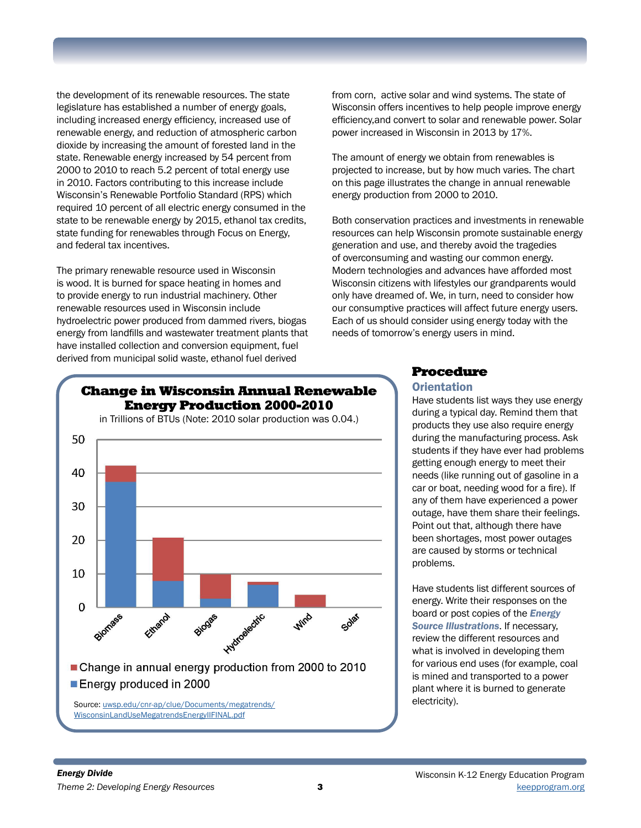the development of its renewable resources. The state legislature has established a number of energy goals, including increased energy efficiency, increased use of renewable energy, and reduction of atmospheric carbon dioxide by increasing the amount of forested land in the state. Renewable energy increased by 54 percent from 2000 to 2010 to reach 5.2 percent of total energy use in 2010. Factors contributing to this increase include Wisconsin's Renewable Portfolio Standard (RPS) which required 10 percent of all electric energy consumed in the state to be renewable energy by 2015, ethanol tax credits, state funding for renewables through Focus on Energy, and federal tax incentives.

The primary renewable resource used in Wisconsin is wood. It is burned for space heating in homes and to provide energy to run industrial machinery. Other renewable resources used in Wisconsin include hydroelectric power produced from dammed rivers, biogas energy from landfills and wastewater treatment plants that have installed collection and conversion equipment, fuel derived from municipal solid waste, ethanol fuel derived

from corn, active solar and wind systems. The state of Wisconsin offers incentives to help people improve energy efficiency,and convert to solar and renewable power. Solar power increased in Wisconsin in 2013 by 17%.

The amount of energy we obtain from renewables is projected to increase, but by how much varies. The chart on this page illustrates the change in annual renewable energy production from 2000 to 2010.

Both conservation practices and investments in renewable resources can help Wisconsin promote sustainable energy generation and use, and thereby avoid the tragedies of overconsuming and wasting our common energy. Modern technologies and advances have afforded most Wisconsin citizens with lifestyles our grandparents would only have dreamed of. We, in turn, need to consider how our consumptive practices will affect future energy users. Each of us should consider using energy today with the needs of tomorrow's energy users in mind.



# Procedure

### **Orientation**

Have students list ways they use energy during a typical day. Remind them that products they use also require energy during the manufacturing process. Ask students if they have ever had problems getting enough energy to meet their needs (like running out of gasoline in a car or boat, needing wood for a fire). If any of them have experienced a power outage, have them share their feelings. Point out that, although there have been shortages, most power outages are caused by storms or technical problems.

Have students list different sources of energy. Write their responses on the board or post copies of the *Energy Source Illustrations*. If necessary, review the different resources and what is involved in developing them for various end uses (for example, coal is mined and transported to a power plant where it is burned to generate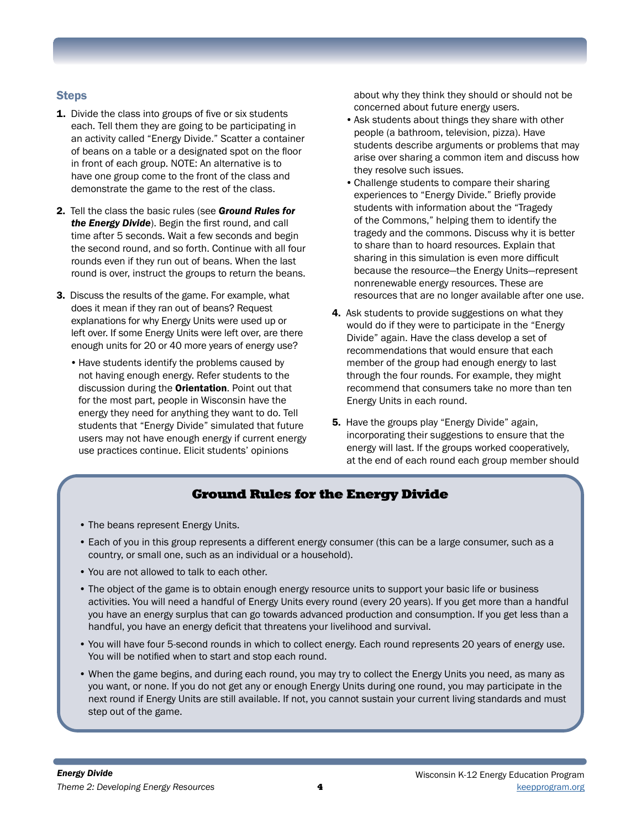## **Steps**

- **1.** Divide the class into groups of five or six students each. Tell them they are going to be participating in an activity called "Energy Divide." Scatter a container of beans on a table or a designated spot on the floor in front of each group. NOTE: An alternative is to have one group come to the front of the class and demonstrate the game to the rest of the class.
- 2. Tell the class the basic rules (see *Ground Rules for the Energy Divide*). Begin the first round, and call time after 5 seconds. Wait a few seconds and begin the second round, and so forth. Continue with all four rounds even if they run out of beans. When the last round is over, instruct the groups to return the beans.
- 3. Discuss the results of the game. For example, what does it mean if they ran out of beans? Request explanations for why Energy Units were used up or left over. If some Energy Units were left over, are there enough units for 20 or 40 more years of energy use?
	- •Have students identify the problems caused by not having enough energy. Refer students to the discussion during the **Orientation**. Point out that for the most part, people in Wisconsin have the energy they need for anything they want to do. Tell students that "Energy Divide" simulated that future users may not have enough energy if current energy use practices continue. Elicit students' opinions

about why they think they should or should not be concerned about future energy users.

- •Ask students about things they share with other people (a bathroom, television, pizza). Have students describe arguments or problems that may arise over sharing a common item and discuss how they resolve such issues.
- •Challenge students to compare their sharing experiences to "Energy Divide." Briefly provide students with information about the "Tragedy of the Commons," helping them to identify the tragedy and the commons. Discuss why it is better to share than to hoard resources. Explain that sharing in this simulation is even more difficult because the resource—the Energy Units—represent nonrenewable energy resources. These are resources that are no longer available after one use.
- 4. Ask students to provide suggestions on what they would do if they were to participate in the "Energy Divide" again. Have the class develop a set of recommendations that would ensure that each member of the group had enough energy to last through the four rounds. For example, they might recommend that consumers take no more than ten Energy Units in each round.
- **5.** Have the groups play "Energy Divide" again, incorporating their suggestions to ensure that the energy will last. If the groups worked cooperatively, at the end of each round each group member should

# Ground Rules for the Energy Divide

- The beans represent Energy Units.
- Each of you in this group represents a different energy consumer (this can be a large consumer, such as a country, or small one, such as an individual or a household).
- You are not allowed to talk to each other.
- The object of the game is to obtain enough energy resource units to support your basic life or business activities. You will need a handful of Energy Units every round (every 20 years). If you get more than a handful you have an energy surplus that can go towards advanced production and consumption. If you get less than a handful, you have an energy deficit that threatens your livelihood and survival.
- You will have four 5-second rounds in which to collect energy. Each round represents 20 years of energy use. You will be notified when to start and stop each round.
- When the game begins, and during each round, you may try to collect the Energy Units you need, as many as you want, or none. If you do not get any or enough Energy Units during one round, you may participate in the next round if Energy Units are still available. If not, you cannot sustain your current living standards and must step out of the game.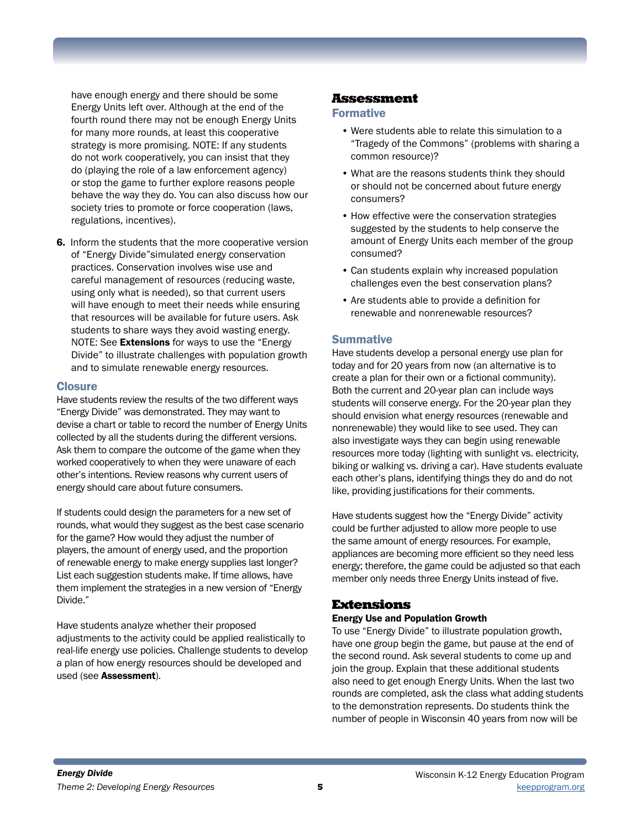have enough energy and there should be some Energy Units left over. Although at the end of the fourth round there may not be enough Energy Units for many more rounds, at least this cooperative strategy is more promising. NOTE: If any students do not work cooperatively, you can insist that they do (playing the role of a law enforcement agency) or stop the game to further explore reasons people behave the way they do. You can also discuss how our society tries to promote or force cooperation (laws, regulations, incentives).

6. Inform the students that the more cooperative version of "Energy Divide"simulated energy conservation practices. Conservation involves wise use and careful management of resources (reducing waste, using only what is needed), so that current users will have enough to meet their needs while ensuring that resources will be available for future users. Ask students to share ways they avoid wasting energy. NOTE: See **Extensions** for ways to use the "Energy Divide" to illustrate challenges with population growth and to simulate renewable energy resources.

#### **Closure**

Have students review the results of the two different ways "Energy Divide" was demonstrated. They may want to devise a chart or table to record the number of Energy Units collected by all the students during the different versions. Ask them to compare the outcome of the game when they worked cooperatively to when they were unaware of each other's intentions. Review reasons why current users of energy should care about future consumers.

If students could design the parameters for a new set of rounds, what would they suggest as the best case scenario for the game? How would they adjust the number of players, the amount of energy used, and the proportion of renewable energy to make energy supplies last longer? List each suggestion students make. If time allows, have them implement the strategies in a new version of "Energy Divide."

Have students analyze whether their proposed adjustments to the activity could be applied realistically to real-life energy use policies. Challenge students to develop a plan of how energy resources should be developed and used (see Assessment).

### Assessment

#### Formative

- Were students able to relate this simulation to a "Tragedy of the Commons" (problems with sharing a common resource)?
- What are the reasons students think they should or should not be concerned about future energy consumers?
- How effective were the conservation strategies suggested by the students to help conserve the amount of Energy Units each member of the group consumed?
- Can students explain why increased population challenges even the best conservation plans?
- Are students able to provide a definition for renewable and nonrenewable resources?

#### **Summative**

Have students develop a personal energy use plan for today and for 20 years from now (an alternative is to create a plan for their own or a fictional community). Both the current and 20-year plan can include ways students will conserve energy. For the 20-year plan they should envision what energy resources (renewable and nonrenewable) they would like to see used. They can also investigate ways they can begin using renewable resources more today (lighting with sunlight vs. electricity, biking or walking vs. driving a car). Have students evaluate each other's plans, identifying things they do and do not like, providing justifications for their comments.

Have students suggest how the "Energy Divide" activity could be further adjusted to allow more people to use the same amount of energy resources. For example, appliances are becoming more efficient so they need less energy; therefore, the game could be adjusted so that each member only needs three Energy Units instead of five.

### Extensions

#### Energy Use and Population Growth

To use "Energy Divide" to illustrate population growth, have one group begin the game, but pause at the end of the second round. Ask several students to come up and join the group. Explain that these additional students also need to get enough Energy Units. When the last two rounds are completed, ask the class what adding students to the demonstration represents. Do students think the number of people in Wisconsin 40 years from now will be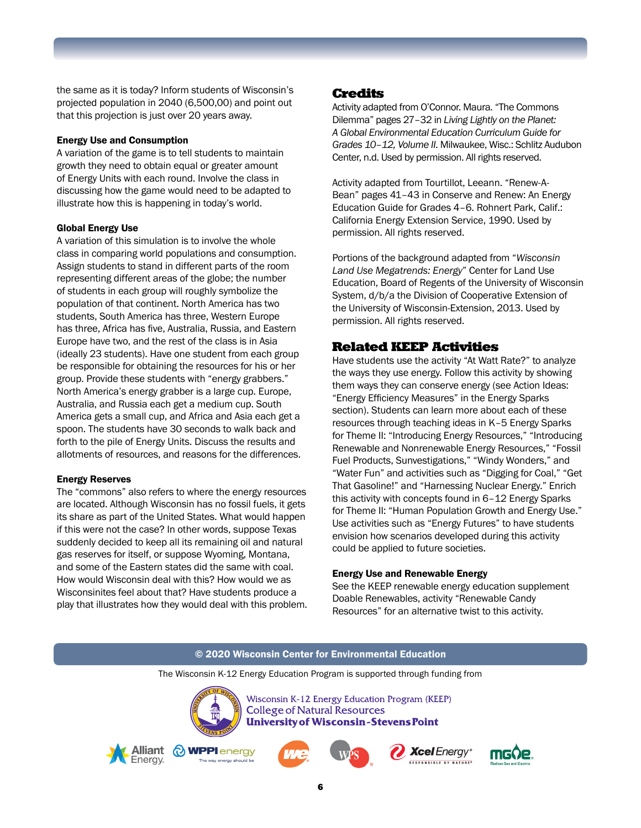the same as it is today? Inform students of Wisconsin's projected population in 2040 (6,500,00) and point out that this projection is just over 20 years away.

#### Energy Use and Consumption

A variation of the game is to tell students to maintain growth they need to obtain equal or greater amount of Energy Units with each round. Involve the class in discussing how the game would need to be adapted to illustrate how this is happening in today's world.

#### Global Energy Use

A variation of this simulation is to involve the whole class in comparing world populations and consumption. Assign students to stand in different parts of the room representing different areas of the globe; the number of students in each group will roughly symbolize the population of that continent. North America has two students, South America has three, Western Europe has three, Africa has five, Australia, Russia, and Eastern Europe have two, and the rest of the class is in Asia (ideally 23 students). Have one student from each group be responsible for obtaining the resources for his or her group. Provide these students with "energy grabbers." North America's energy grabber is a large cup. Europe, Australia, and Russia each get a medium cup. South America gets a small cup, and Africa and Asia each get a spoon. The students have 30 seconds to walk back and forth to the pile of Energy Units. Discuss the results and allotments of resources, and reasons for the differences.

#### Energy Reserves

The "commons" also refers to where the energy resources are located. Although Wisconsin has no fossil fuels, it gets its share as part of the United States. What would happen if this were not the case? In other words, suppose Texas suddenly decided to keep all its remaining oil and natural gas reserves for itself, or suppose Wyoming, Montana, and some of the Eastern states did the same with coal. How would Wisconsin deal with this? How would we as Wisconsinites feel about that? Have students produce a play that illustrates how they would deal with this problem.

### Credits

Activity adapted from O'Connor. Maura. "The Commons Dilemma" pages 27–32 in *Living Lightly on the Planet: A Global Environmental Education Curriculum Guide for Grades 10–12, Volume II*. Milwaukee, Wisc.: Schlitz Audubon Center, n.d. Used by permission. All rights reserved.

Activity adapted from Tourtillot, Leeann. "Renew-A-Bean" pages 41–43 in Conserve and Renew: An Energy Education Guide for Grades 4–6. Rohnert Park, Calif.: California Energy Extension Service, 1990. Used by permission. All rights reserved.

Portions of the background adapted from "*Wisconsin Land Use Megatrends: Energy*" Center for Land Use Education, Board of Regents of the University of Wisconsin System, d/b/a the Division of Cooperative Extension of the University of Wisconsin-Extension, 2013. Used by permission. All rights reserved.

## Related KEEP Activities

Have students use the activity "At Watt Rate?" to analyze the ways they use energy. Follow this activity by showing them ways they can conserve energy (see Action Ideas: "Energy Efficiency Measures" in the Energy Sparks section). Students can learn more about each of these resources through teaching ideas in K–5 Energy Sparks for Theme II: "Introducing Energy Resources," "Introducing Renewable and Nonrenewable Energy Resources," "Fossil Fuel Products, Sunvestigations," "Windy Wonders," and "Water Fun" and activities such as "Digging for Coal," "Get That Gasoline!" and "Harnessing Nuclear Energy." Enrich this activity with concepts found in 6–12 Energy Sparks for Theme II: "Human Population Growth and Energy Use." Use activities such as "Energy Futures" to have students envision how scenarios developed during this activity could be applied to future societies.

#### Energy Use and Renewable Energy

See the KEEP renewable energy education supplement Doable Renewables, activity "Renewable Candy Resources" for an alternative twist to this activity.



The Wisconsin K-12 Energy Education Program is supported through funding from



Wisconsin K-12 Energy Education Program (KEEP) **College of Natural Resources University of Wisconsin-Stevens Point** 









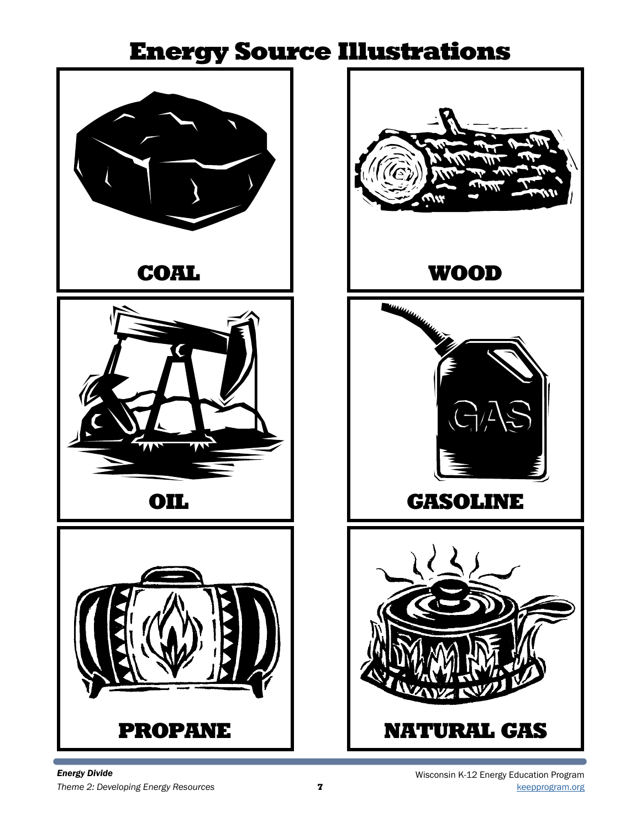# Energy Source Illustrations



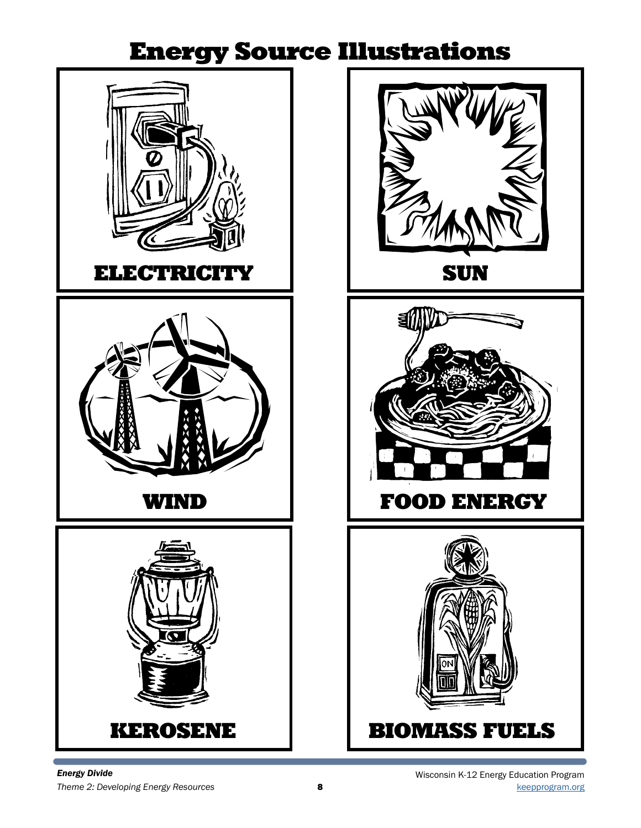# Energy Source Illustrations